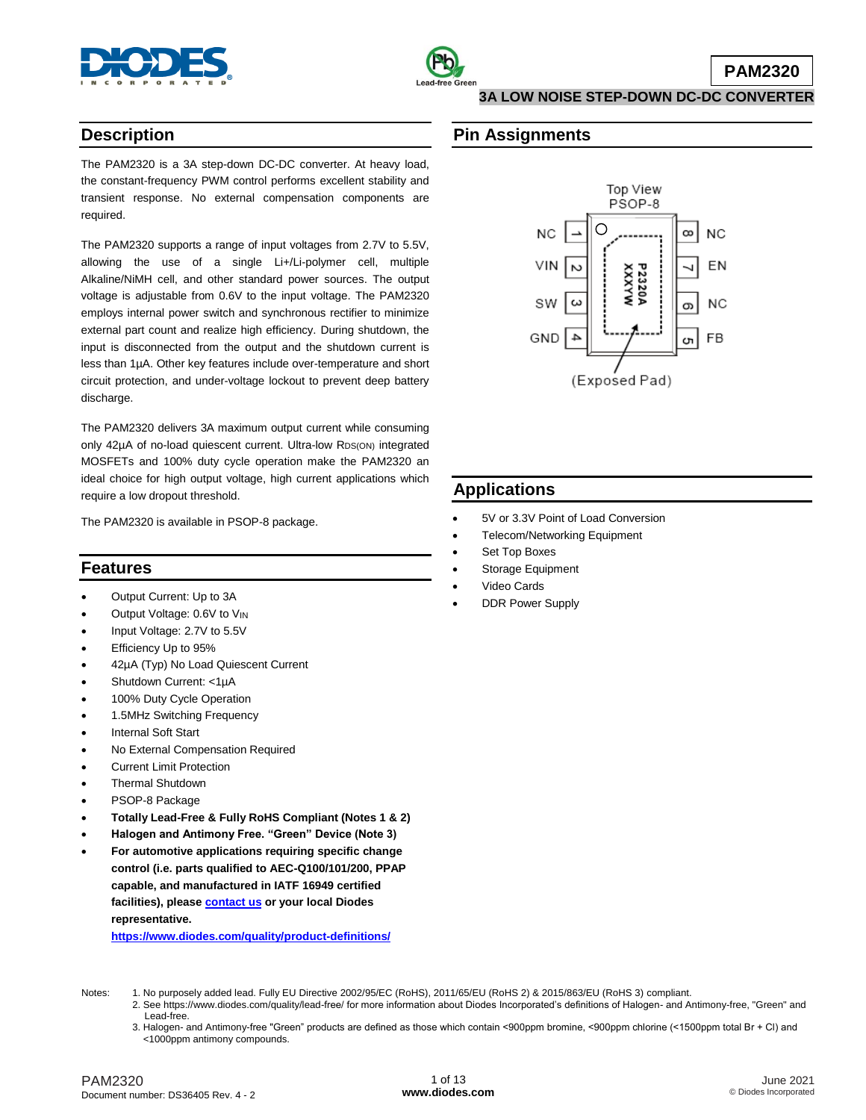

## **Description**

The PAM2320 is a 3A step-down DC-DC converter. At heavy load, the constant-frequency PWM control performs excellent stability and transient response. No external compensation components are required.

The PAM2320 supports a range of input voltages from 2.7V to 5.5V, allowing the use of a single Li+/Li-polymer cell, multiple Alkaline/NiMH cell, and other standard power sources. The output voltage is adjustable from 0.6V to the input voltage. The PAM2320 employs internal power switch and synchronous rectifier to minimize external part count and realize high efficiency. During shutdown, the input is disconnected from the output and the shutdown current is less than 1µA. Other key features include over-temperature and short circuit protection, and under-voltage lockout to prevent deep battery discharge.

The PAM2320 delivers 3A maximum output current while consuming only 42µA of no-load quiescent current. Ultra-low RDS(ON) integrated MOSFETs and 100% duty cycle operation make the PAM2320 an ideal choice for high output voltage, high current applications which require a low dropout threshold.

The PAM2320 is available in PSOP-8 package.

## **Features**

- Output Current: Up to 3A
- Output Voltage: 0.6V to VIN
- Input Voltage: 2.7V to 5.5V
- Efficiency Up to 95%
- 42µA (Typ) No Load Quiescent Current
- Shutdown Current: <1µA
- 100% Duty Cycle Operation
- 1.5MHz Switching Frequency
- Internal Soft Start
- No External Compensation Required
- **•** Current Limit Protection
- Thermal Shutdown
- PSOP-8 Package
- **Totally Lead-Free & Fully RoHS Compliant (Notes 1 & 2)**
- **Halogen and Antimony Free. "Green" Device (Note 3)**
- **For automotive applications requiring specific change control (i.e. parts qualified to AEC-Q100/101/200, PPAP capable, and manufactured in IATF 16949 certified facilities), please [contact us](https://www.diodes.com/about/contact-us/) or your local Diodes representative.**

**<https://www.diodes.com/quality/product-definitions/>**

## **Pin Assignments**



# **Applications**

- 5V or 3.3V Point of Load Conversion
- Telecom/Networking Equipment
- Set Top Boxes
- Storage Equipment
- Video Cards
- DDR Power Supply

- Notes: 1. No purposely added lead. Fully EU Directive 2002/95/EC (RoHS), 2011/65/EU (RoHS 2) & 2015/863/EU (RoHS 3) compliant.
	- 2. See https://www.diodes.com/quality/lead-free/ for more information about Diodes Incorporated's definitions of Halogen- and Antimony-free, "Green" and Lead-free.
	- 3. Halogen- and Antimony-free "Green" products are defined as those which contain <900ppm bromine, <900ppm chlorine (<1500ppm total Br + Cl) and <1000ppm antimony compounds.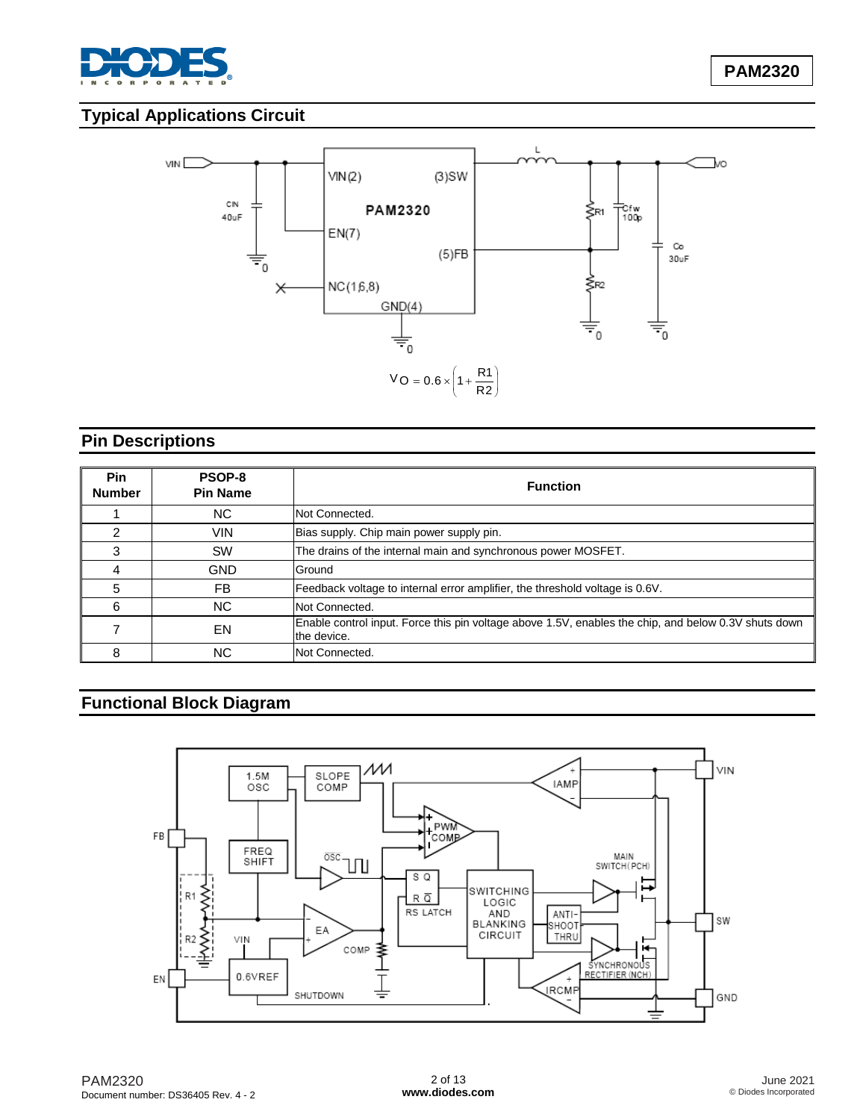

# **Typical Applications Circuit**



# **Pin Descriptions**

| Pin<br><b>Number</b> | PSOP-8<br><b>Pin Name</b> | <b>Function</b>                                                                                                     |
|----------------------|---------------------------|---------------------------------------------------------------------------------------------------------------------|
|                      | NC.                       | Not Connected.                                                                                                      |
|                      | VIN                       | Bias supply. Chip main power supply pin.                                                                            |
|                      | <b>SW</b>                 | The drains of the internal main and synchronous power MOSFET.                                                       |
| 4                    | <b>GND</b>                | Ground                                                                                                              |
| 5                    | FB.                       | Feedback voltage to internal error amplifier, the threshold voltage is 0.6V.                                        |
| 6                    | NC.                       | Not Connected.                                                                                                      |
|                      | EN                        | Enable control input. Force this pin voltage above 1.5V, enables the chip, and below 0.3V shuts down<br>the device. |
| 8                    | NC.                       | Not Connected.                                                                                                      |

# **Functional Block Diagram**

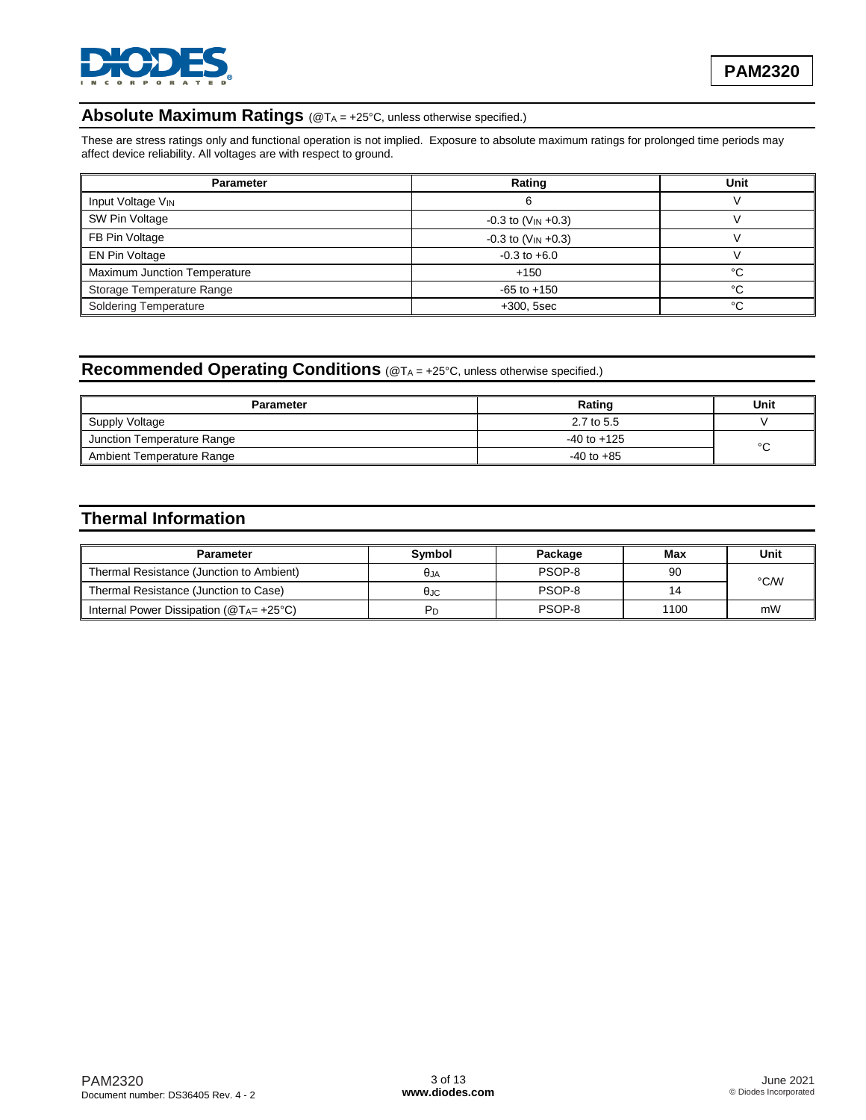

## **Absolute Maximum Ratings** (@T<sup>A</sup> = +25°C, unless otherwise specified.)

These are stress ratings only and functional operation is not implied. Exposure to absolute maximum ratings for prolonged time periods may affect device reliability. All voltages are with respect to ground.

| <b>Parameter</b>             | Rating                              | Unit |  |
|------------------------------|-------------------------------------|------|--|
| Input Voltage VIN            | b                                   |      |  |
| SW Pin Voltage               | $-0.3$ to (V <sub>IN</sub> $+0.3$ ) |      |  |
| FB Pin Voltage               | $-0.3$ to (V <sub>IN</sub> $+0.3$ ) |      |  |
| EN Pin Voltage               | $-0.3$ to $+6.0$                    |      |  |
| Maximum Junction Temperature | $+150$                              | °C   |  |
| Storage Temperature Range    | $-65$ to $+150$                     | °C   |  |
| <b>Soldering Temperature</b> | $+300, 5sec$                        | °C   |  |

# **Recommended Operating Conditions** (@T<sup>A</sup> = +25°C, unless otherwise specified.)

| <b>Parameter</b>           | Rating          | Unit   |
|----------------------------|-----------------|--------|
| Supply Voltage             | 2.7 to 5.5      |        |
| Junction Temperature Range | $-40$ to $+125$ | $\sim$ |
| Ambient Temperature Range  | $-40$ to $+85$  | ັ      |

# **Thermal Information**

| <b>Parameter</b>                                | Symbol         | Package | Max  | Unit |
|-------------------------------------------------|----------------|---------|------|------|
| Thermal Resistance (Junction to Ambient)        | θja            | PSOP-8  | 90   | °C/W |
| Thermal Resistance (Junction to Case)           | θ.ic           | PSOP-8  | 14   |      |
| Internal Power Dissipation ( $@T_{A} = +25°C$ ) | P <sub>D</sub> | PSOP-8  | 1100 | mW   |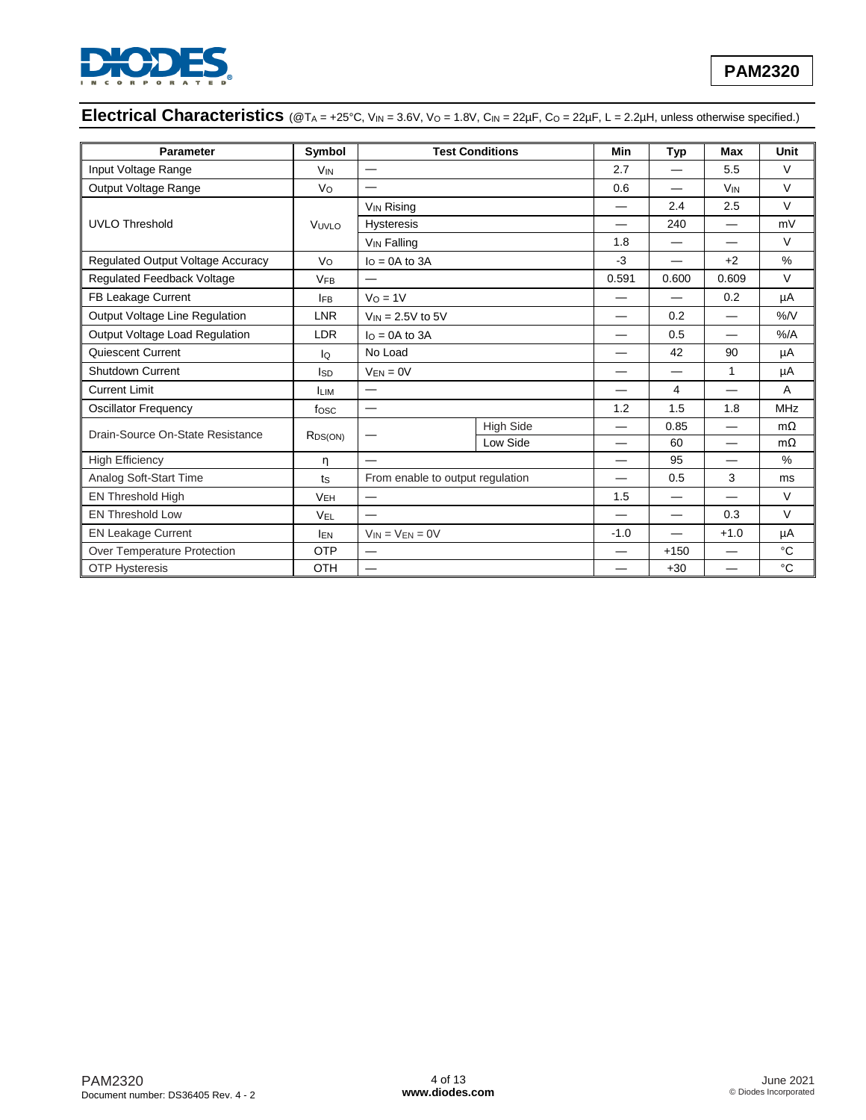

# Electrical Characteristics (@TA = +25°C, VIN = 3.6V, Vo = 1.8V, CIN = 22µF, Co = 22µF, L = 2.2µH, unless otherwise specified.)

| <b>Parameter</b>                  | Symbol                                 |                              | <b>Test Conditions</b> | Min    | <b>Typ</b>               | <b>Max</b>               | Unit        |
|-----------------------------------|----------------------------------------|------------------------------|------------------------|--------|--------------------------|--------------------------|-------------|
| Input Voltage Range               | <b>V<sub>IN</sub></b>                  |                              |                        | 2.7    |                          | 5.5                      | $\vee$      |
| Output Voltage Range              | Vo                                     |                              |                        | 0.6    |                          | <b>V<sub>IN</sub></b>    | $\vee$      |
|                                   |                                        | <b>V<sub>IN</sub></b> Rising |                        |        | 2.4                      | 2.5                      | $\vee$      |
| <b>UVLO Threshold</b>             | VUVLO                                  | <b>Hysteresis</b>            |                        |        | 240                      |                          | mV          |
|                                   |                                        | <b>VIN Falling</b>           |                        | 1.8    | $\overline{\phantom{0}}$ |                          | $\vee$      |
| Regulated Output Voltage Accuracy | Vo                                     | $I_O = 0A$ to $3A$           |                        | $-3$   |                          | $+2$                     | $\%$        |
| Regulated Feedback Voltage        | <b>VFB</b>                             |                              |                        | 0.591  | 0.600                    | 0.609                    | $\vee$      |
| FB Leakage Current                | <b>IFB</b>                             | $V_0 = 1V$                   |                        |        |                          | 0.2                      | μA          |
| Output Voltage Line Regulation    | <b>LNR</b>                             | $V_{IN} = 2.5V$ to 5V        |                        |        | 0.2                      |                          | %N          |
| Output Voltage Load Regulation    | <b>LDR</b>                             | $I_0 = 0A$ to 3A             |                        |        | 0.5                      | $\overline{\phantom{0}}$ | $%$ /A      |
| Quiescent Current                 | lQ                                     | No Load                      |                        |        | 42                       | 90                       | μA          |
| <b>Shutdown Current</b>           | Isp                                    | $V_{EN} = 0V$                |                        |        |                          | $\mathbf{1}$             | μA          |
| <b>Current Limit</b>              | <b>ILIM</b>                            | $\overline{\phantom{0}}$     |                        |        | 4                        |                          | A           |
| Oscillator Frequency              | fosc                                   |                              |                        | 1.2    | 1.5                      | 1.8                      | <b>MHz</b>  |
| Drain-Source On-State Resistance  | R <sub>DS(ON)</sub>                    |                              | <b>High Side</b>       |        | 0.85                     | $\overline{\phantom{0}}$ | $m\Omega$   |
|                                   |                                        |                              | Low Side               |        | 60                       |                          | $m\Omega$   |
| <b>High Efficiency</b>            | η                                      |                              |                        |        | 95                       |                          | $\%$        |
| Analog Soft-Start Time            | From enable to output regulation<br>ts |                              |                        | 0.5    | 3                        | ms                       |             |
| EN Threshold High                 | <b>VEH</b>                             |                              |                        | 1.5    |                          |                          | $\vee$      |
| <b>EN Threshold Low</b>           | VEL                                    |                              |                        |        |                          | 0.3                      | $\vee$      |
| <b>EN Leakage Current</b>         | <b>IEN</b>                             | $V_{IN} = V_{EN} = 0V$       |                        | $-1.0$ |                          | $+1.0$                   | μA          |
| Over Temperature Protection       | <b>OTP</b>                             |                              |                        |        | $+150$                   |                          | $^{\circ}C$ |
| <b>OTP Hysteresis</b>             | OTH                                    |                              |                        |        | $+30$                    |                          | $^{\circ}C$ |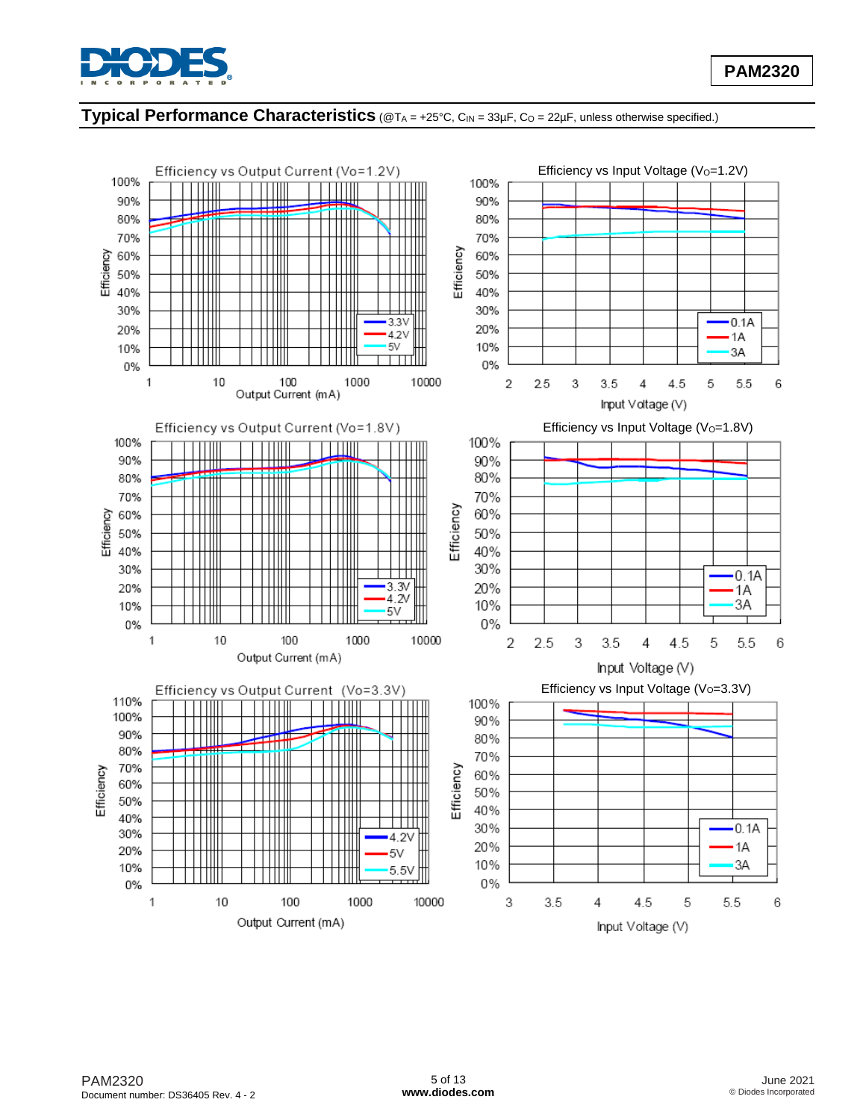

## **Typical Performance Characteristics** (@T<sup>A</sup> = +25°C, CIN = 33µF, C<sup>O</sup> = 22µF, unless otherwise specified.)

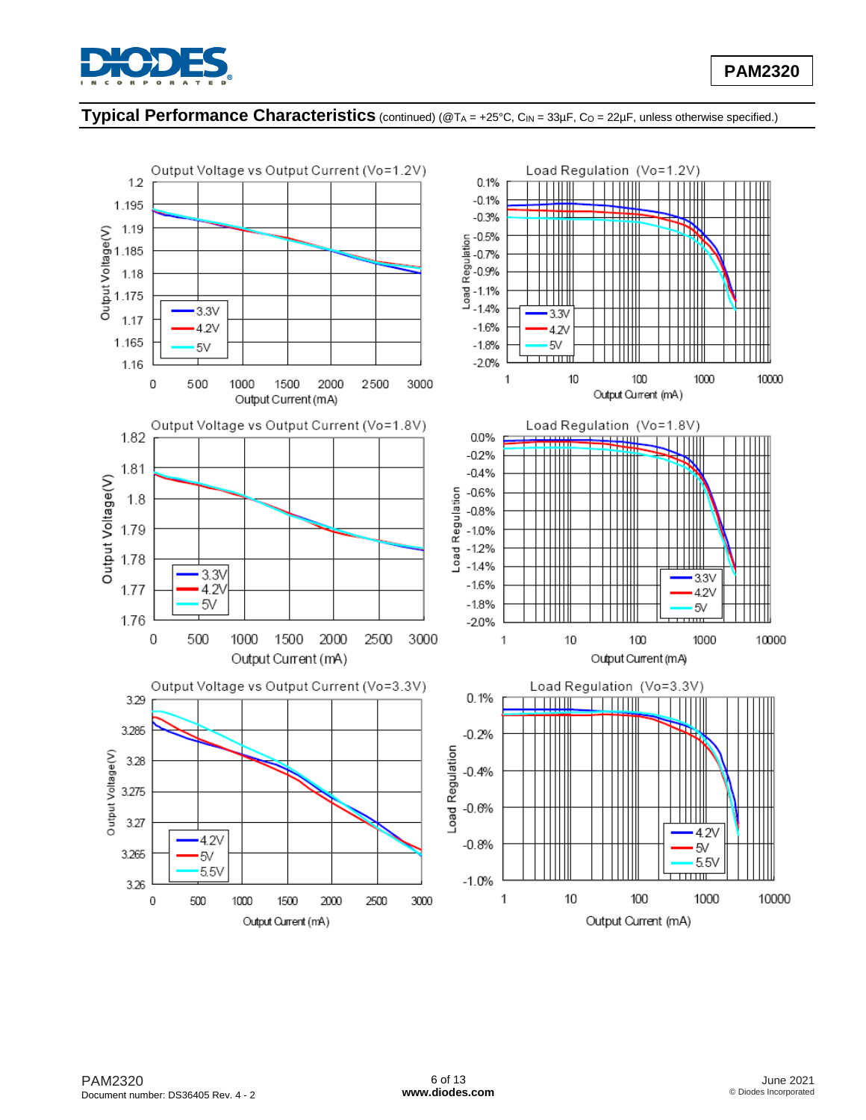

## **Typical Performance Characteristics** (continued) (@T<sup>A</sup> = +25°C, CIN = 33µF, C<sup>O</sup> = 22µF, unless otherwise specified.)

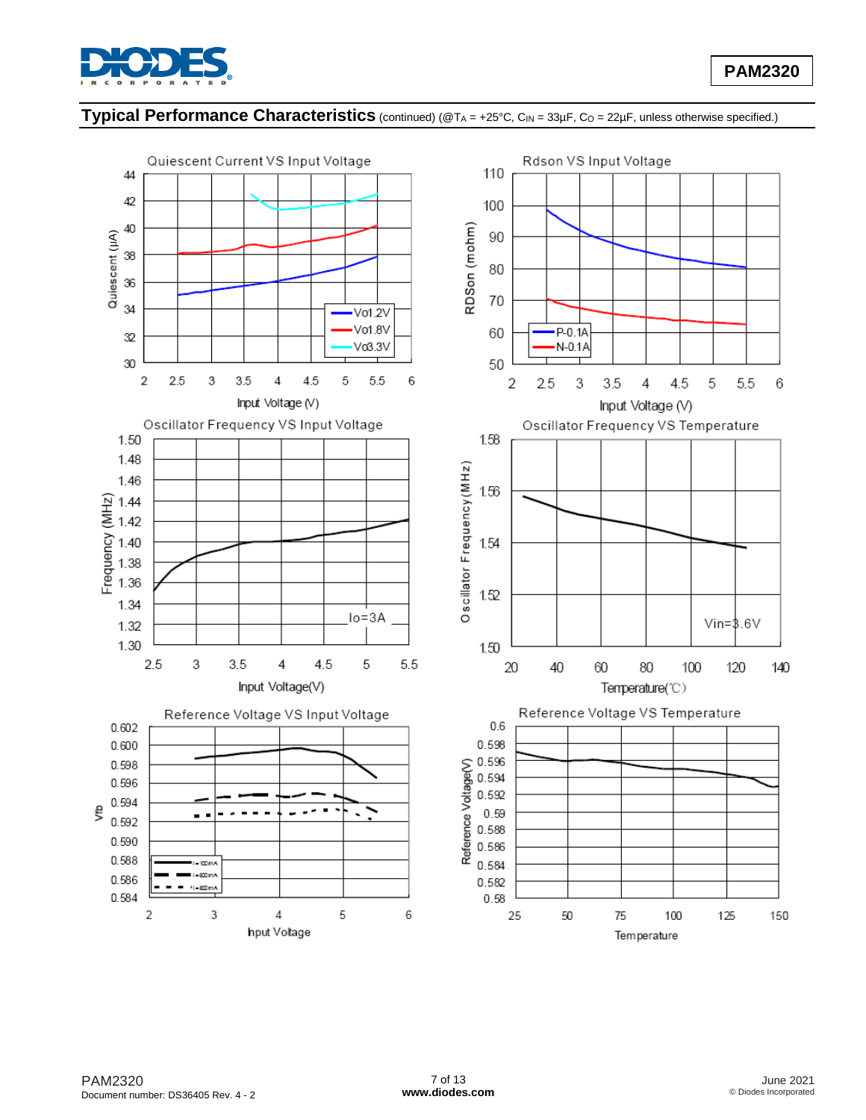

# **Typical Performance Characteristics** (continued) (@T<sup>A</sup> = +25°C, CIN = 33µF, C<sup>O</sup> = 22µF, unless otherwise specified.)

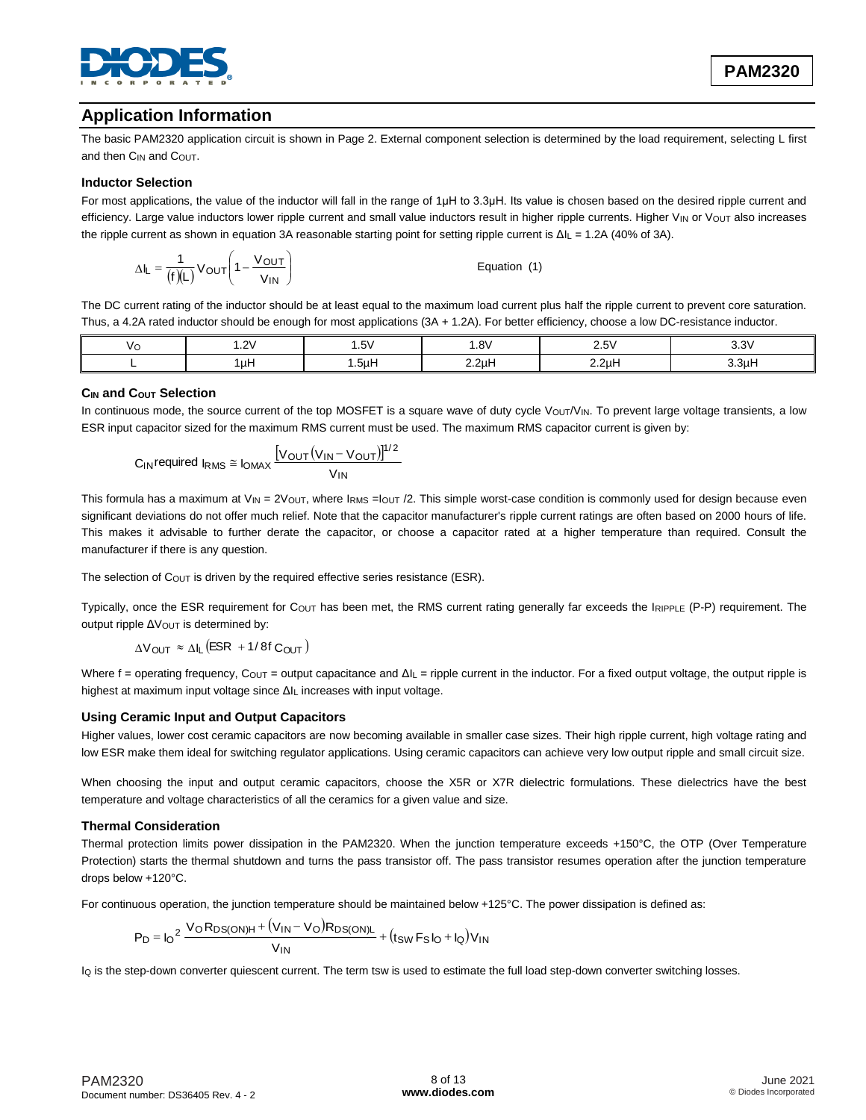

# **Application Information**

The basic PAM2320 application circuit is shown in Page 2. External component selection is determined by the load requirement, selecting L first and then C<sub>IN</sub> and C<sub>OUT</sub>.

### **Inductor Selection**

For most applications, the value of the inductor will fall in the range of 1μH to 3.3μH. Its value is chosen based on the desired ripple current and efficiency. Large value inductors lower ripple current and small value inductors result in higher ripple currents. Higher VIN or Vout also increases the ripple current as shown in equation 3A reasonable starting point for setting ripple current is ΔIL = 1.2A (40% of 3A).

$$
\Delta I_L = \frac{1}{(f)(L)} V_{OUT} \left( 1 - \frac{V_{OUT}}{V_{IN}} \right)
$$
 Equation (1)

The DC current rating of the inductor should be at least equal to the maximum load current plus half the ripple current to prevent core saturation. Thus, a 4.2A rated inductor should be enough for most applications (3A + 1.2A). For better efficiency, choose a low DC-resistance inductor.

| ١ı | 1.2V | .5V | 1.8V             | $\cdot$ his<br>۰ ت ک | $\sim$<br>ບ.ບ` |
|----|------|-----|------------------|----------------------|----------------|
|    | luH  | 5µH | 2.2 <sub>µ</sub> | 2.2 <sub>µ</sub> H   | $^{\circ}$ 3uH |

### **CIN and COUT Selection**

In continuous mode, the source current of the top MOSFET is a square wave of duty cycle  $V_{\text{OUT}}/V_{\text{IN}}$ . To prevent large voltage transients, a low ESR input capacitor sized for the maximum RMS current must be used. The maximum RMS capacitor current is given by:

$$
C_{IN} \text{required I}_{RMS} \cong \text{I}_{OMAX} \frac{\left[ V_{OUT} (V_{IN} - V_{OUT}) \right]^{1/2}}{V_{IN}}
$$

This formula has a maximum at  $V_{IN} = 2V_{OUT}$ , where  $I_{RMS} = I_{OUT}/2$ . This simple worst-case condition is commonly used for design because even significant deviations do not offer much relief. Note that the capacitor manufacturer's ripple current ratings are often based on 2000 hours of life. This makes it advisable to further derate the capacitor, or choose a capacitor rated at a higher temperature than required. Consult the manufacturer if there is any question.

The selection of COUT is driven by the required effective series resistance (ESR).

Typically, once the ESR requirement for C<sub>OUT</sub> has been met, the RMS current rating generally far exceeds the IRIPPLE (P-P) requirement. The output ripple ΔV<sub>OUT</sub> is determined by:

 $\Delta V_{\text{OUT}} \approx \Delta I_L \left( \text{ESR} + 1/8f \text{C}_{\text{OUT}} \right)$ 

Where f = operating frequency, Couτ = output capacitance and ΔIL = ripple current in the inductor. For a fixed output voltage, the output ripple is highest at maximum input voltage since ΔIL increases with input voltage.

### **Using Ceramic Input and Output Capacitors**

Higher values, lower cost ceramic capacitors are now becoming available in smaller case sizes. Their high ripple current, high voltage rating and low ESR make them ideal for switching regulator applications. Using ceramic capacitors can achieve very low output ripple and small circuit size.

When choosing the input and output ceramic capacitors, choose the X5R or X7R dielectric formulations. These dielectrics have the best temperature and voltage characteristics of all the ceramics for a given value and size.

### **Thermal Consideration**

Thermal protection limits power dissipation in the PAM2320. When the junction temperature exceeds +150°C, the OTP (Over Temperature Protection) starts the thermal shutdown and turns the pass transistor off. The pass transistor resumes operation after the junction temperature drops below +120°C.

For continuous operation, the junction temperature should be maintained below +125°C. The power dissipation is defined as:<br> $P_D = I_0^2 \frac{V_0 R_{DS(ON)H} + (V_{IN} - V_0) R_{DS(ON)L}}{P} + (f_{ON} F_0 I_0 + I_0) V_{IN}$ 

$$
P_D = I_0^2 \frac{V_0 R_{DS(ON)H} + (V_{IN} - V_0) R_{DS(ON)L}}{V_{IN}} + (t_{SW} F_S I_0 + I_0) V_{IN}
$$

Iq is the step-down converter quiescent current. The term tsw is used to estimate the full load step-down converter switching losses.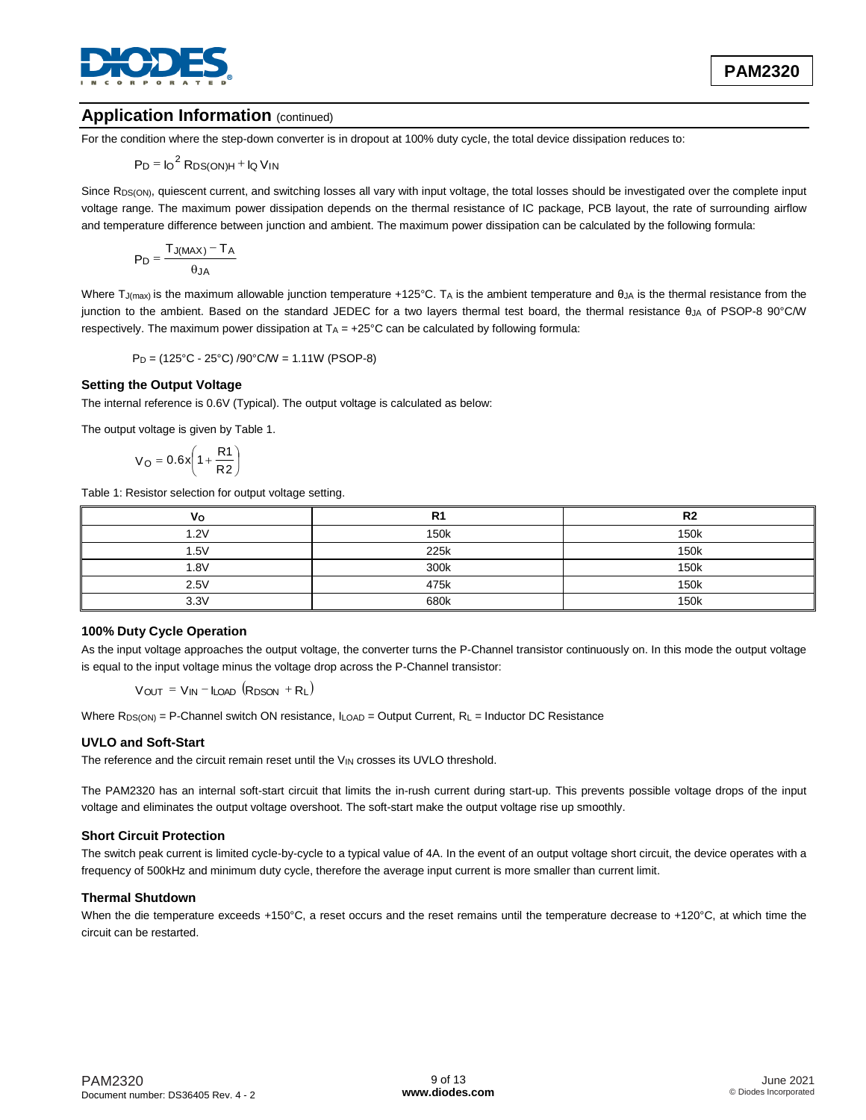

## **Application Information (continued)**

For the condition where the step-down converter is in dropout at 100% duty cycle, the total device dissipation reduces to:

$$
P_D = I_O^2 R_{DS(ON)H} + I_Q V_{IN}
$$

Since R<sub>DS(ON)</sub>, quiescent current, and switching losses all vary with input voltage, the total losses should be investigated over the complete input voltage range. The maximum power dissipation depends on the thermal resistance of IC package, PCB layout, the rate of surrounding airflow and temperature difference between junction and ambient. The maximum power dissipation can be calculated by the following formula:

$$
P_D = \frac{T_{J(MAX)} - T_A}{\theta_{JA}}
$$

Where T<sub>J(max)</sub> is the maximum allowable junction temperature +125°C. TA is the ambient temperature and  $\theta_{JA}$  is the thermal resistance from the junction to the ambient. Based on the standard JEDEC for a two layers thermal test board, the thermal resistance θ<sub>JA</sub> of PSOP-8 90°C/W respectively. The maximum power dissipation at  $TA = +25^{\circ}C$  can be calculated by following formula:

PD = (125°C - 25°C) /90°C/W = 1.11W (PSOP-8)

### **Setting the Output Voltage**

The internal reference is 0.6V (Typical). The output voltage is calculated as below:

The output voltage is given by Table 1.

$$
V_O = 0.6x \left(1 + \frac{R1}{R2}\right)
$$

Table 1: Resistor selection for output voltage setting.

| V٥   | R <sub>1</sub> | R <sub>2</sub> |
|------|----------------|----------------|
| 1.2V | 150k           | 150k           |
| 1.5V | 225k           | 150k           |
| 1.8V | 300k           | 150k           |
| 2.5V | 475k           | 150k           |
| 3.3V | 680k           | 150k           |

### **100% Duty Cycle Operation**

As the input voltage approaches the output voltage, the converter turns the P-Channel transistor continuously on. In this mode the output voltage is equal to the input voltage minus the voltage drop across the P-Channel transistor:

 $V_{OUT} = V_{IN} - I_{LOAD} (R_{DSON} + R_L)$ 

Where  $R_{DS(ON)} = P$ -Channel switch ON resistance,  $I_{LOAD} = Output$  Current,  $R_L = Inductor$  DC Resistance

### **UVLO and Soft-Start**

The reference and the circuit remain reset until the VIN crosses its UVLO threshold.

The PAM2320 has an internal soft-start circuit that limits the in-rush current during start-up. This prevents possible voltage drops of the input voltage and eliminates the output voltage overshoot. The soft-start make the output voltage rise up smoothly.

### **Short Circuit Protection**

The switch peak current is limited cycle-by-cycle to a typical value of 4A. In the event of an output voltage short circuit, the device operates with a frequency of 500kHz and minimum duty cycle, therefore the average input current is more smaller than current limit.

### **Thermal Shutdown**

When the die temperature exceeds +150°C, a reset occurs and the reset remains until the temperature decrease to +120°C, at which time the circuit can be restarted.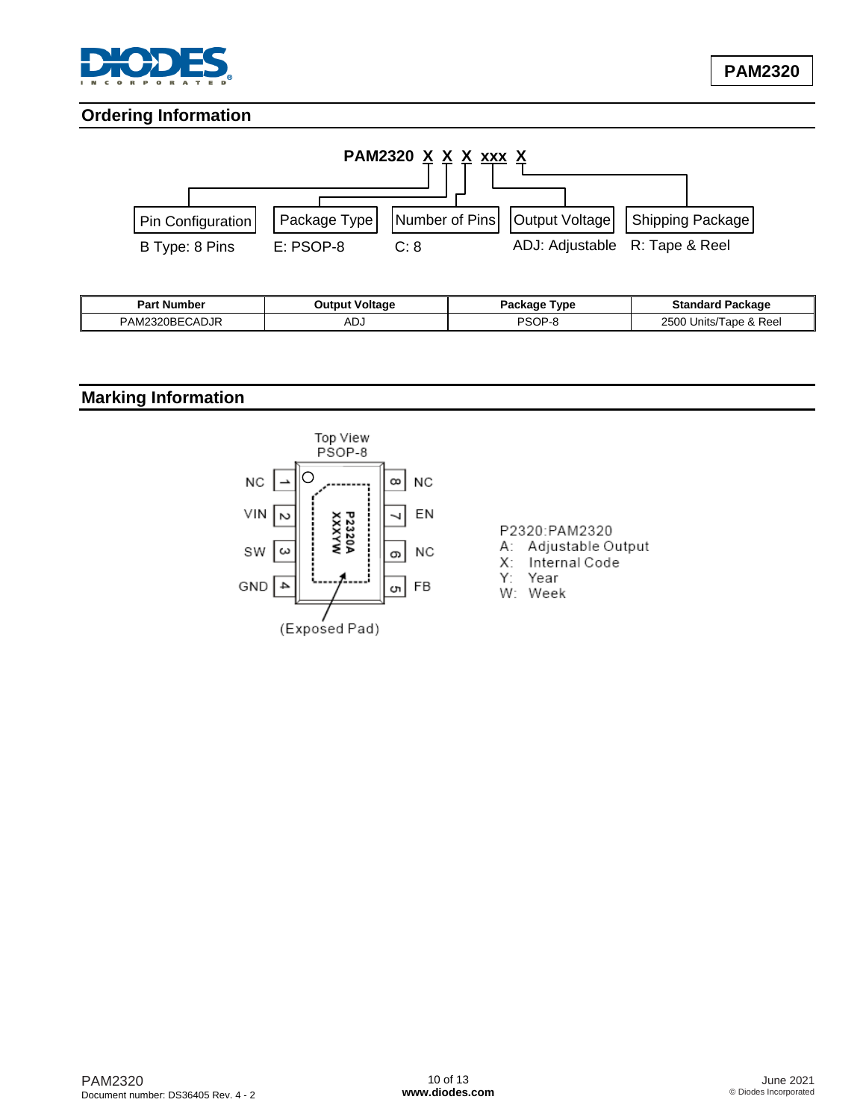

## **Ordering Information**



| <b>Part Number</b>  | <b>Output Voltage</b> | Type<br>Packaqe | Ciondord<br>Package<br>əlanuaru |
|---------------------|-----------------------|-----------------|---------------------------------|
| 320BECADJR<br>PAM∟. | - Л. Г<br>¬∟ง         | <b>PSOP-c</b>   | 2500<br>Reel<br>ape<br>Units/   |

## **Marking Information**



### P2320:PAM2320

- A: Adjustable Output
- X: Internal Code
- Y: Year
- W: Week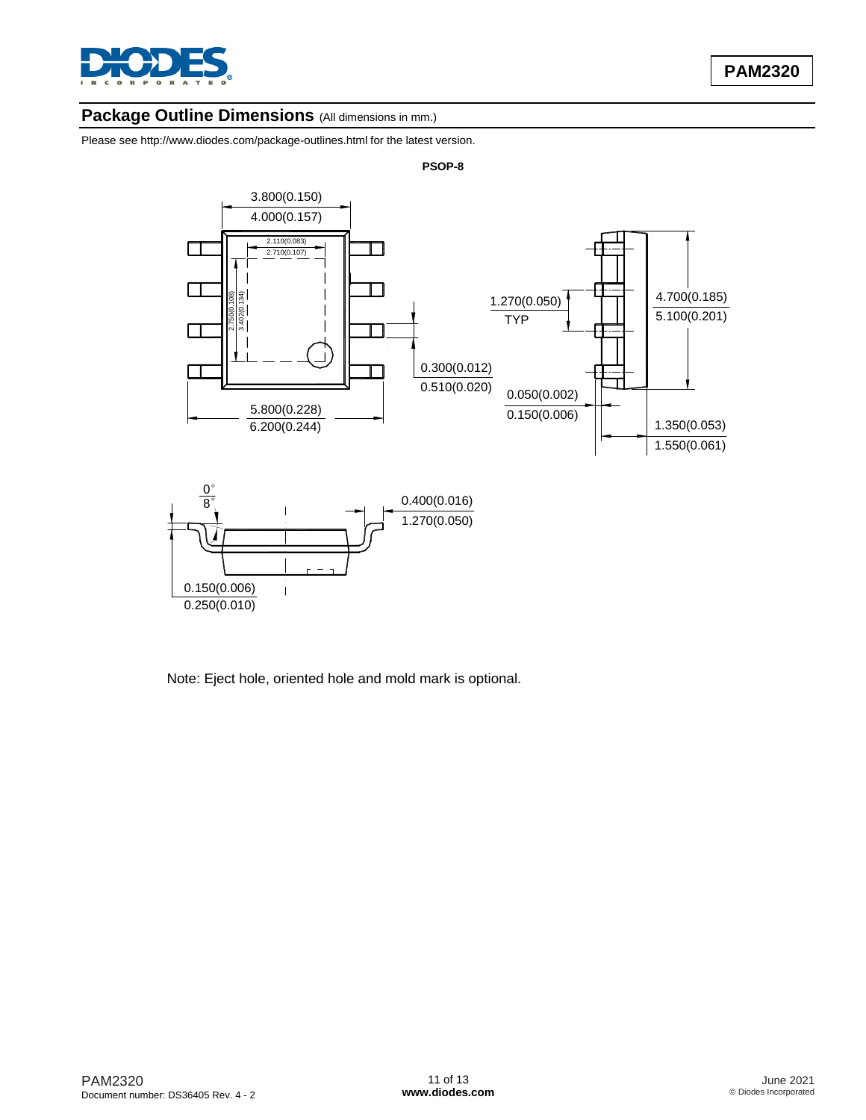

## Package Outline Dimensions (All dimensions in mm.)

Please see <http://www.diodes.com/package-outlines.html> for the latest version.



**PSOP-8**

Note: Eject hole, oriented hole and mold mark is optional.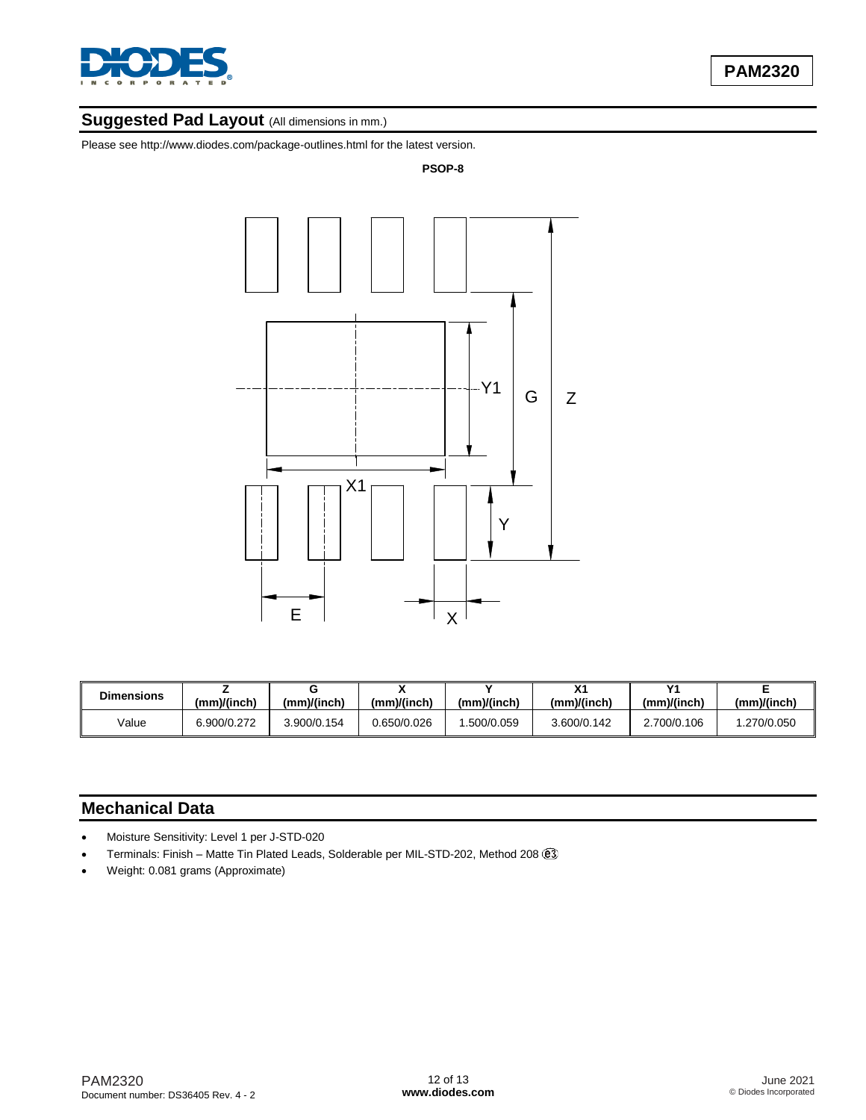

# **Suggested Pad Layout** (All dimensions in mm.)

Please see http://www.diodes.com/package-outlines.html for the latest version.

#### **PSOP-8**



| <b>Dimensions</b> | (mm)/(inch) | (mm)/(inch) | (mm)/(inch) | (mm)/(inch) | $\mathbf{v}$<br>(mm)/(inch) | $\mathsf{v}$<br>(mm)/(inch) | (mm)/(inch) |
|-------------------|-------------|-------------|-------------|-------------|-----------------------------|-----------------------------|-------------|
| Value             | 6.900/0.272 | 3.900/0.154 | 0.650/0.026 | .500/0.059  | 3.600/0.142                 | .700/0.106                  | .270/0.050  |

## **Mechanical Data**

- Moisture Sensitivity: Level 1 per J-STD-020
- Terminals: Finish Matte Tin Plated Leads, Solderable per MIL-STD-202, Method 208
- Weight: 0.081 grams (Approximate)